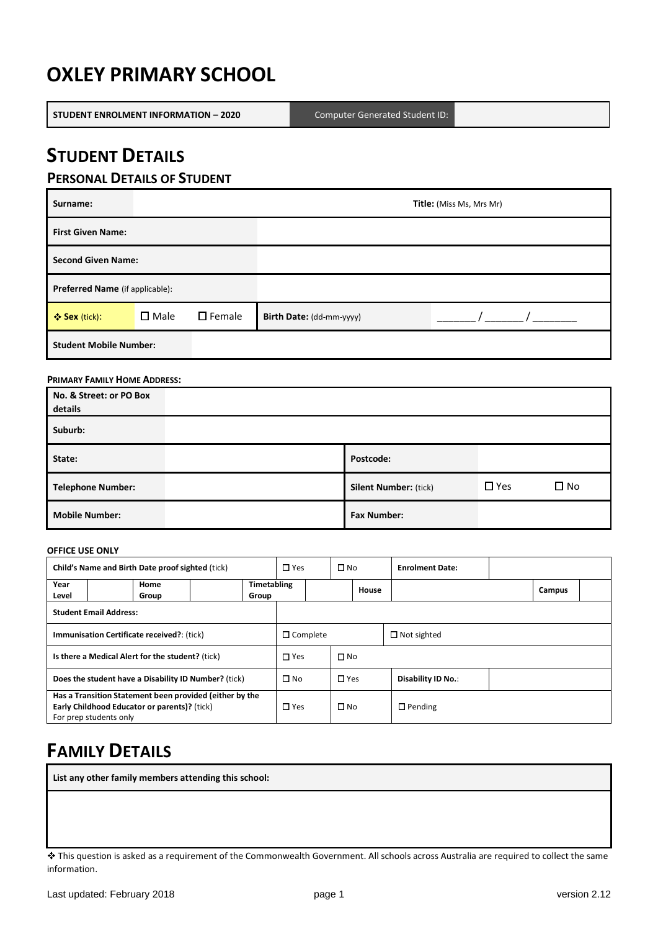# **OXLEY PRIMARY SCHOOL**

**STUDENT ENROLMENT INFORMATION – 2020** Computer Generated Student ID:

## **STUDENT DETAILS**

## **PERSONAL DETAILS OF STUDENT**

| Surname:                        |                |                  | <b>Title:</b> (Miss Ms, Mrs Mr) |  |  |  |  |  |
|---------------------------------|----------------|------------------|---------------------------------|--|--|--|--|--|
| <b>First Given Name:</b>        |                |                  |                                 |  |  |  |  |  |
| <b>Second Given Name:</b>       |                |                  |                                 |  |  |  |  |  |
| Preferred Name (if applicable): |                |                  |                                 |  |  |  |  |  |
| ❖ Sex (tick):                   | $\square$ Male | $\square$ Female | Birth Date: (dd-mm-yyyy)        |  |  |  |  |  |
| <b>Student Mobile Number:</b>   |                |                  |                                 |  |  |  |  |  |

#### **PRIMARY FAMILY HOME ADDRESS:**

| No. & Street: or PO Box<br>details |                              |            |              |
|------------------------------------|------------------------------|------------|--------------|
| Suburb:                            |                              |            |              |
| State:                             | Postcode:                    |            |              |
| <b>Telephone Number:</b>           | <b>Silent Number: (tick)</b> | $\Box$ Yes | $\square$ No |
| <b>Mobile Number:</b>              | <b>Fax Number:</b>           |            |              |

#### **OFFICE USE ONLY**

| Child's Name and Birth Date proof sighted (tick)     |                                                                                                                                   | $\square$ Yes | $\square$ No       |               | <b>Enrolment Date:</b> |                    |                |        |  |
|------------------------------------------------------|-----------------------------------------------------------------------------------------------------------------------------------|---------------|--------------------|---------------|------------------------|--------------------|----------------|--------|--|
| Year                                                 | Home                                                                                                                              |               | <b>Timetabling</b> |               |                        | House              |                | Campus |  |
| Level                                                | Group                                                                                                                             |               | Group              |               |                        |                    |                |        |  |
| <b>Student Email Address:</b>                        |                                                                                                                                   |               |                    |               |                        |                    |                |        |  |
| <b>Immunisation Certificate received?</b> : (tick)   |                                                                                                                                   |               | $\Box$ Complete    |               |                        | $\Box$ Not sighted |                |        |  |
| Is there a Medical Alert for the student? (tick)     |                                                                                                                                   |               | $\square$ Yes      | $\square$ No  |                        |                    |                |        |  |
| Does the student have a Disability ID Number? (tick) |                                                                                                                                   | $\square$ No  | $\square$ Yes      |               | Disability ID No.:     |                    |                |        |  |
|                                                      | Has a Transition Statement been provided (either by the<br>Early Childhood Educator or parents)? (tick)<br>For prep students only |               |                    | $\square$ Yes | $\square$ No           |                    | $\Box$ Pending |        |  |

# **FAMILY DETAILS**

**List any other family members attending this school:**

This question is asked as a requirement of the Commonwealth Government. All schools across Australia are required to collect the same information.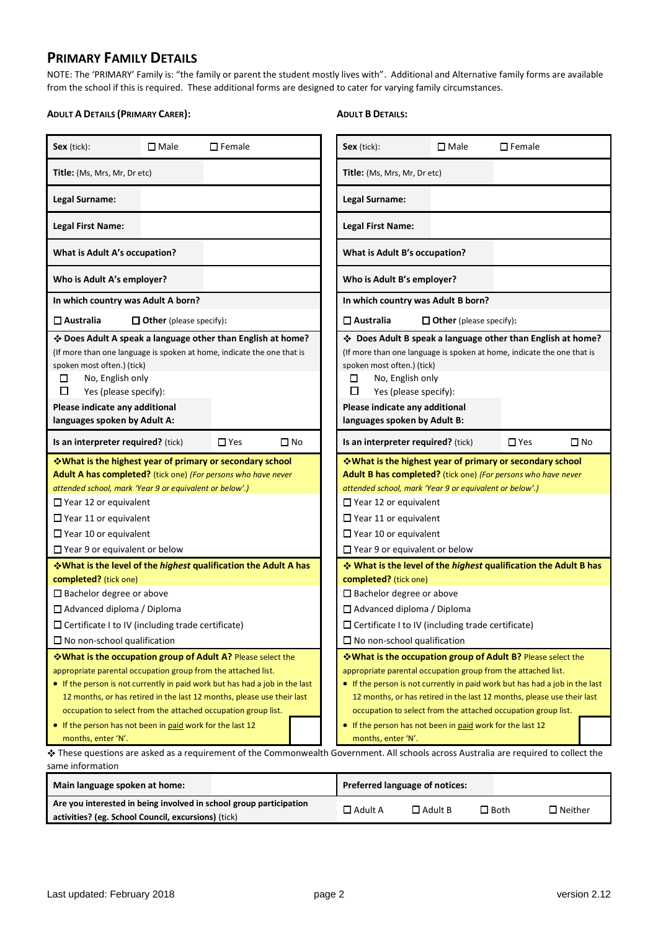## **PRIMARY FAMILY DETAILS**

NOTE: The 'PRIMARY' Family is: "the family or parent the student mostly lives with". Additional and Alternative family forms are available from the school if this is required. These additional forms are designed to cater for varying family circumstances.

#### **ADULT A DETAILS (PRIMARY CARER):**

#### **ADULT B DETAILS:**

|                                                                                                                                                                                                                                                                                                                                                                                                                                            |                                |                  |           |                                                                                                                                                                                                                                                                                                                                                                                                                                            |                                  | $\square$ Female |                   |  |
|--------------------------------------------------------------------------------------------------------------------------------------------------------------------------------------------------------------------------------------------------------------------------------------------------------------------------------------------------------------------------------------------------------------------------------------------|--------------------------------|------------------|-----------|--------------------------------------------------------------------------------------------------------------------------------------------------------------------------------------------------------------------------------------------------------------------------------------------------------------------------------------------------------------------------------------------------------------------------------------------|----------------------------------|------------------|-------------------|--|
| Sex (tick):                                                                                                                                                                                                                                                                                                                                                                                                                                | $\square$ Male                 | $\square$ Female |           | Sex (tick):                                                                                                                                                                                                                                                                                                                                                                                                                                | $\square$ Male                   |                  |                   |  |
| Title: (Ms, Mrs, Mr, Dr etc)                                                                                                                                                                                                                                                                                                                                                                                                               |                                |                  |           | Title: (Ms, Mrs, Mr, Dr etc)                                                                                                                                                                                                                                                                                                                                                                                                               |                                  |                  |                   |  |
| Legal Surname:                                                                                                                                                                                                                                                                                                                                                                                                                             |                                |                  |           | Legal Surname:                                                                                                                                                                                                                                                                                                                                                                                                                             |                                  |                  |                   |  |
| <b>Legal First Name:</b>                                                                                                                                                                                                                                                                                                                                                                                                                   |                                |                  |           | <b>Legal First Name:</b>                                                                                                                                                                                                                                                                                                                                                                                                                   |                                  |                  |                   |  |
| What is Adult A's occupation?                                                                                                                                                                                                                                                                                                                                                                                                              |                                |                  |           | What is Adult B's occupation?                                                                                                                                                                                                                                                                                                                                                                                                              |                                  |                  |                   |  |
| Who is Adult A's employer?                                                                                                                                                                                                                                                                                                                                                                                                                 |                                |                  |           | Who is Adult B's employer?                                                                                                                                                                                                                                                                                                                                                                                                                 |                                  |                  |                   |  |
| In which country was Adult A born?                                                                                                                                                                                                                                                                                                                                                                                                         |                                |                  |           | In which country was Adult B born?                                                                                                                                                                                                                                                                                                                                                                                                         |                                  |                  |                   |  |
| $\square$ Australia                                                                                                                                                                                                                                                                                                                                                                                                                        | $\Box$ Other (please specify): |                  |           | $\square$ Australia<br>$\Box$ Other (please specify):                                                                                                                                                                                                                                                                                                                                                                                      |                                  |                  |                   |  |
| * Does Adult A speak a language other than English at home?<br>(If more than one language is spoken at home, indicate the one that is<br>spoken most often.) (tick)<br>No, English only<br>□<br>□<br>Yes (please specify):<br>Please indicate any additional<br>languages spoken by Adult A:                                                                                                                                               |                                |                  |           | * Does Adult B speak a language other than English at home?<br>(If more than one language is spoken at home, indicate the one that is<br>spoken most often.) (tick)<br>No, English only<br>⊔<br>□<br>Yes (please specify):<br>Please indicate any additional<br>languages spoken by Adult B:                                                                                                                                               |                                  |                  |                   |  |
| Is an interpreter required? (tick)                                                                                                                                                                                                                                                                                                                                                                                                         |                                | $\Box$ Yes       | $\Box$ No | Is an interpreter required? (tick)                                                                                                                                                                                                                                                                                                                                                                                                         |                                  | $\Box$ Yes       | $\square$ No      |  |
| V What is the highest year of primary or secondary school<br>Adult A has completed? (tick one) (For persons who have never<br>attended school, mark 'Year 9 or equivalent or below'.)<br>$\Box$ Year 12 or equivalent<br>$\Box$ Year 11 or equivalent<br>$\Box$ Year 10 or equivalent<br>$\Box$ Year 9 or equivalent or below                                                                                                              |                                |                  |           | V What is the highest year of primary or secondary school<br>Adult B has completed? (tick one) (For persons who have never<br>attended school, mark 'Year 9 or equivalent or below'.)<br>$\Box$ Year 12 or equivalent<br>$\Box$ Year 11 or equivalent<br>$\Box$ Year 10 or equivalent<br>$\Box$ Year 9 or equivalent or below                                                                                                              |                                  |                  |                   |  |
| V What is the level of the highest qualification the Adult A has                                                                                                                                                                                                                                                                                                                                                                           |                                |                  |           | Ve What is the level of the highest qualification the Adult B has                                                                                                                                                                                                                                                                                                                                                                          |                                  |                  |                   |  |
| completed? (tick one)<br>□ Bachelor degree or above<br>$\Box$ Advanced diploma / Diploma<br>$\Box$ Certificate I to IV (including trade certificate)<br>$\Box$ No non-school qualification                                                                                                                                                                                                                                                 |                                |                  |           | completed? (tick one)<br>□ Bachelor degree or above<br>$\Box$ Advanced diploma / Diploma<br>$\Box$ Certificate I to IV (including trade certificate)<br>$\Box$ No non-school qualification                                                                                                                                                                                                                                                 |                                  |                  |                   |  |
| V What is the occupation group of Adult A? Please select the<br>appropriate parental occupation group from the attached list.<br>• If the person is not currently in paid work but has had a job in the last<br>12 months, or has retired in the last 12 months, please use their last<br>occupation to select from the attached occupation group list.<br>• If the person has not been in paid work for the last 12<br>months, enter 'N'. |                                |                  |           | V What is the occupation group of Adult B? Please select the<br>appropriate parental occupation group from the attached list.<br>• If the person is not currently in paid work but has had a job in the last<br>12 months, or has retired in the last 12 months, please use their last<br>occupation to select from the attached occupation group list.<br>• If the person has not been in paid work for the last 12<br>months, enter 'N'. |                                  |                  |                   |  |
| same information                                                                                                                                                                                                                                                                                                                                                                                                                           |                                |                  |           | ❖ These questions are asked as a requirement of the Commonwealth Government. All schools across Australia are required to collect the                                                                                                                                                                                                                                                                                                      |                                  |                  |                   |  |
| Main language spoken at home:                                                                                                                                                                                                                                                                                                                                                                                                              |                                |                  |           | Preferred language of notices:                                                                                                                                                                                                                                                                                                                                                                                                             |                                  |                  |                   |  |
| Are you interested in being involved in school group participation<br>activities? (eg. School Council, excursions) (tick)                                                                                                                                                                                                                                                                                                                  |                                |                  |           | $\square$ Adult A                                                                                                                                                                                                                                                                                                                                                                                                                          | $\square$ Adult B<br>$\Box$ Both |                  | $\square$ Neither |  |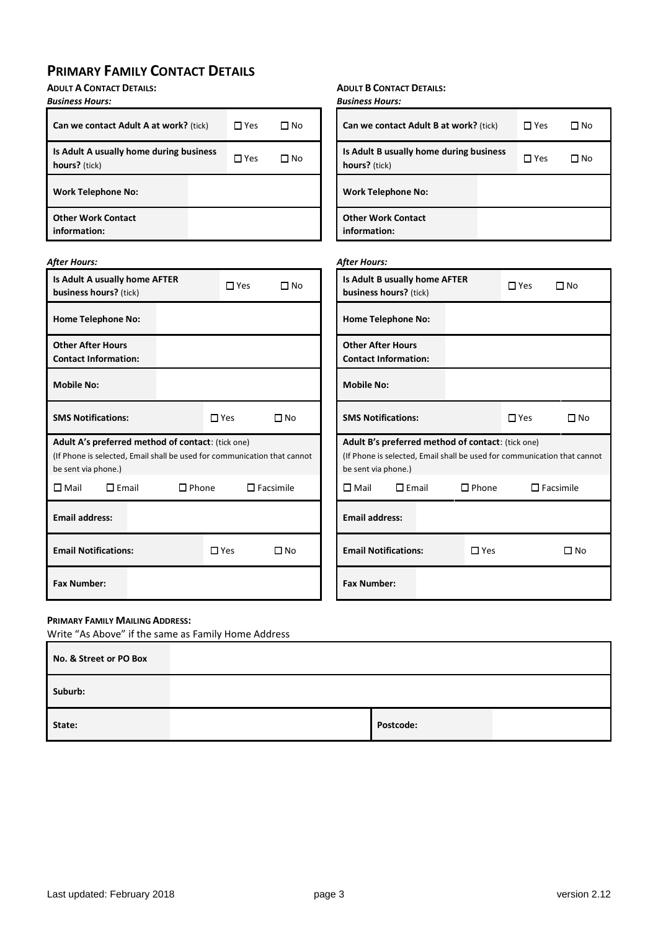## **PRIMARY FAMILY CONTACT DETAILS**

**ADULT A CONTACT DETAILS:**

| <b>Business Hours:</b>                                                                                                                               |                               | <b>Business Hours:</b>                                                                                                                               |                               |
|------------------------------------------------------------------------------------------------------------------------------------------------------|-------------------------------|------------------------------------------------------------------------------------------------------------------------------------------------------|-------------------------------|
| Can we contact Adult A at work? (tick)                                                                                                               | $\square$ Yes<br>$\square$ No | Can we contact Adult B at work? (tick)                                                                                                               | $\square$ Yes<br>$\square$ No |
| Is Adult A usually home during business<br>hours? (tick)                                                                                             | $\square$ Yes<br>$\square$ No | Is Adult B usually home during business<br>hours? (tick)                                                                                             | $\Box$ Yes<br>$\square$ No    |
| <b>Work Telephone No:</b>                                                                                                                            |                               | <b>Work Telephone No:</b>                                                                                                                            |                               |
| <b>Other Work Contact</b><br>information:                                                                                                            |                               | <b>Other Work Contact</b><br>information:                                                                                                            |                               |
| After Hours:                                                                                                                                         |                               | <b>After Hours:</b>                                                                                                                                  |                               |
| Is Adult A usually home AFTER<br>business hours? (tick)                                                                                              | $\Box$ Yes<br>$\square$ No    | Is Adult B usually home AFTER<br>business hours? (tick)                                                                                              | $\Box$ Yes<br>$\Box$ No       |
| <b>Home Telephone No:</b>                                                                                                                            |                               | <b>Home Telephone No:</b>                                                                                                                            |                               |
| <b>Other After Hours</b><br><b>Contact Information:</b>                                                                                              |                               | <b>Other After Hours</b><br><b>Contact Information:</b>                                                                                              |                               |
| <b>Mobile No:</b>                                                                                                                                    |                               | <b>Mobile No:</b>                                                                                                                                    |                               |
| <b>SMS Notifications:</b>                                                                                                                            | $\square$ Yes<br>$\square$ No | <b>SMS Notifications:</b>                                                                                                                            | $\square$ Yes<br>$\square$ No |
| Adult A's preferred method of contact: (tick one)<br>(If Phone is selected, Email shall be used for communication that cannot<br>be sent via phone.) |                               | Adult B's preferred method of contact: (tick one)<br>(If Phone is selected, Email shall be used for communication that cannot<br>be sent via phone.) |                               |
| $\square$ Mail<br>$\square$ Email<br>$\square$ Phone                                                                                                 | $\square$ Facsimile           | $\square$ Mail<br>$\square$ Email<br>$\square$ Phone                                                                                                 | $\Box$ Facsimile              |
| <b>Email address:</b>                                                                                                                                |                               | <b>Email address:</b>                                                                                                                                |                               |
| <b>Email Notifications:</b>                                                                                                                          | $\Box$ No<br>$\square$ Yes    | $\Box$ Yes<br><b>Email Notifications:</b>                                                                                                            | $\square$ No                  |
| <b>Fax Number:</b>                                                                                                                                   |                               | <b>Fax Number:</b>                                                                                                                                   |                               |

**ADULT B CONTACT DETAILS:**

#### **PRIMARY FAMILY MAILING ADDRESS:**

Write "As Above" if the same as Family Home Address

| No. & Street or PO Box |           |  |
|------------------------|-----------|--|
| Suburb:                |           |  |
| State:                 | Postcode: |  |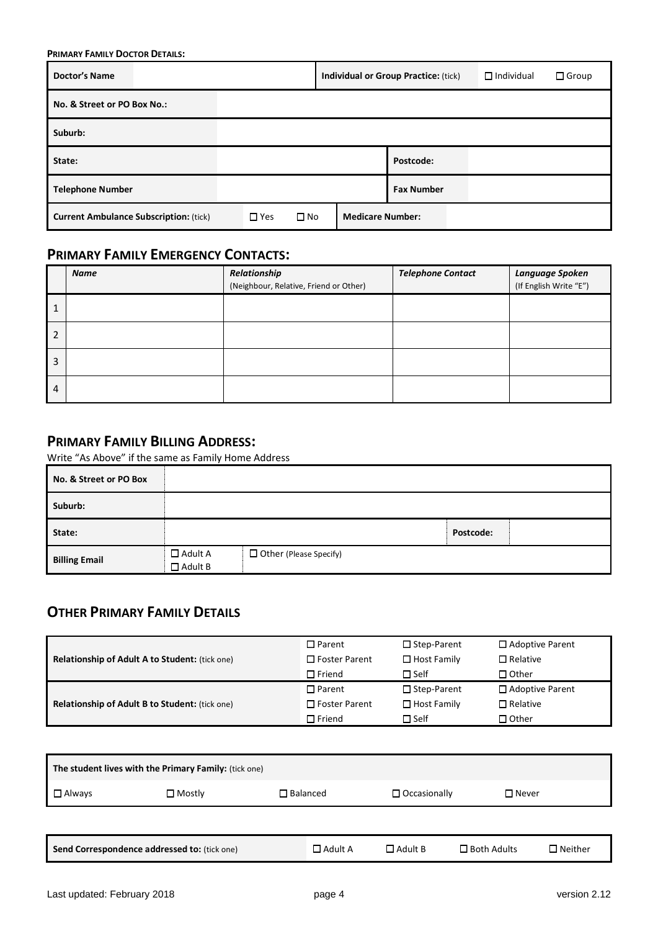**PRIMARY FAMILY DOCTOR DETAILS:**

| <b>Doctor's Name</b>                          | <b>Individual or Group Practice: (tick)</b> | $\Box$ Individual       | $\Box$ Group |  |  |
|-----------------------------------------------|---------------------------------------------|-------------------------|--------------|--|--|
| No. & Street or PO Box No.:                   |                                             |                         |              |  |  |
| Suburb:                                       |                                             |                         |              |  |  |
| State:                                        |                                             | Postcode:               |              |  |  |
| <b>Telephone Number</b>                       |                                             | <b>Fax Number</b>       |              |  |  |
| <b>Current Ambulance Subscription: (tick)</b> | $\square$ No<br>$\square$ Yes               | <b>Medicare Number:</b> |              |  |  |

## **PRIMARY FAMILY EMERGENCY CONTACTS:**

|                | Name | Relationship                           | <b>Telephone Contact</b> | Language Spoken        |
|----------------|------|----------------------------------------|--------------------------|------------------------|
|                |      | (Neighbour, Relative, Friend or Other) |                          | (If English Write "E") |
| 1              |      |                                        |                          |                        |
| $\overline{2}$ |      |                                        |                          |                        |
| 3              |      |                                        |                          |                        |
| 4              |      |                                        |                          |                        |

### **PRIMARY FAMILY BILLING ADDRESS:**

Write "As Above" if the same as Family Home Address

| No. & Street or PO Box |                                  |                          |           |  |
|------------------------|----------------------------------|--------------------------|-----------|--|
| Suburb:                |                                  |                          |           |  |
| State:                 |                                  |                          | Postcode: |  |
| <b>Billing Email</b>   | $\Box$ Adult A<br>$\Box$ Adult B | □ Other (Please Specify) |           |  |

## **OTHER PRIMARY FAMILY DETAILS**

|                                                       | $\square$ Parent     | $\square$ Step-Parent | $\Box$ Adoptive Parent |
|-------------------------------------------------------|----------------------|-----------------------|------------------------|
| <b>Relationship of Adult A to Student:</b> (tick one) | $\Box$ Foster Parent | $\Box$ Host Family    | $\Box$ Relative        |
|                                                       | $\Box$ Friend        | $\Box$ Self           | $\Box$ Other           |
|                                                       | $\Box$ Parent        | $\Box$ Step-Parent    | $\Box$ Adoptive Parent |
| <b>Relationship of Adult B to Student: (tick one)</b> | $\Box$ Foster Parent | $\Box$ Host Family    | $\Box$ Relative        |
|                                                       | $\Box$ Friend        | $\Box$ Self           | $\Box$ Other           |

| The student lives with the Primary Family: (tick one) |                  |                 |                     |              |  |  |  |
|-------------------------------------------------------|------------------|-----------------|---------------------|--------------|--|--|--|
| $\Box$ Always                                         | $\square$ Mostly | $\Box$ Balanced | $\Box$ Occasionally | $\Box$ Never |  |  |  |
|                                                       |                  |                 |                     |              |  |  |  |

|  | Send Correspondence addressed to: (tick one) | Adult A | - Adult B | コ Both Adults | $\Box$ Neither |
|--|----------------------------------------------|---------|-----------|---------------|----------------|
|--|----------------------------------------------|---------|-----------|---------------|----------------|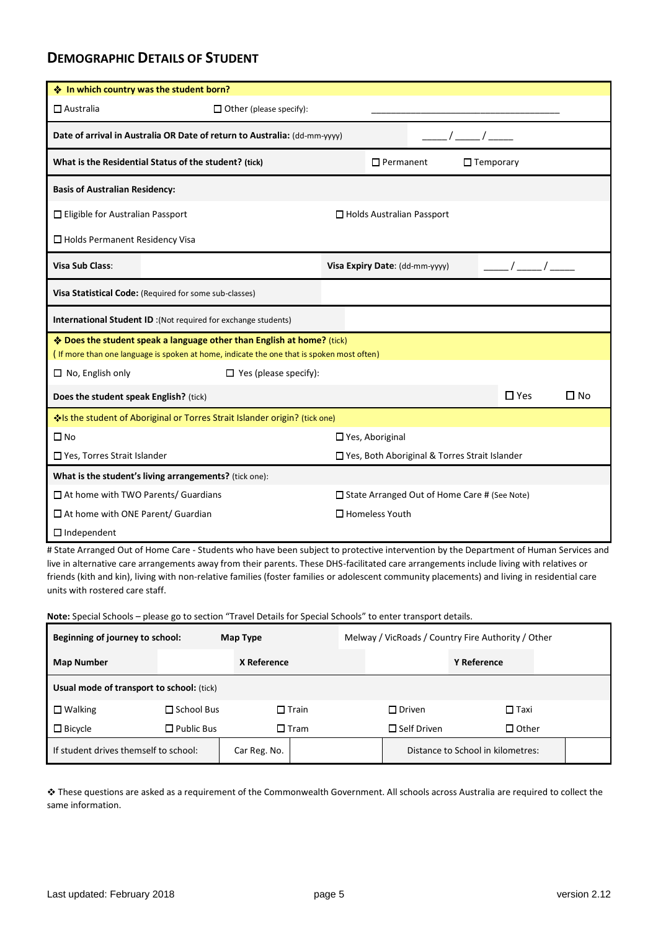## **DEMOGRAPHIC DETAILS OF STUDENT**

| ❖ In which country was the student born?                                                          |                                                                                                                                                                     |                                  |                     |            |           |  |  |  |  |
|---------------------------------------------------------------------------------------------------|---------------------------------------------------------------------------------------------------------------------------------------------------------------------|----------------------------------|---------------------|------------|-----------|--|--|--|--|
| $\square$ Australia                                                                               | $\Box$ Other (please specify):                                                                                                                                      |                                  |                     |            |           |  |  |  |  |
| Date of arrival in Australia OR Date of return to Australia: (dd-mm-yyyy)                         |                                                                                                                                                                     |                                  |                     |            |           |  |  |  |  |
|                                                                                                   | What is the Residential Status of the student? (tick)                                                                                                               | $\Box$ Permanent                 | $\square$ Temporary |            |           |  |  |  |  |
| <b>Basis of Australian Residency:</b>                                                             |                                                                                                                                                                     |                                  |                     |            |           |  |  |  |  |
| $\Box$ Eligible for Australian Passport                                                           |                                                                                                                                                                     | $\Box$ Holds Australian Passport |                     |            |           |  |  |  |  |
| $\Box$ Holds Permanent Residency Visa                                                             |                                                                                                                                                                     |                                  |                     |            |           |  |  |  |  |
| Visa Sub Class:                                                                                   |                                                                                                                                                                     | Visa Expiry Date: (dd-mm-yyyy)   |                     |            |           |  |  |  |  |
|                                                                                                   | Visa Statistical Code: (Required for some sub-classes)                                                                                                              |                                  |                     |            |           |  |  |  |  |
|                                                                                                   | International Student ID: (Not required for exchange students)                                                                                                      |                                  |                     |            |           |  |  |  |  |
|                                                                                                   | ♦ Does the student speak a language other than English at home? (tick)<br>(If more than one language is spoken at home, indicate the one that is spoken most often) |                                  |                     |            |           |  |  |  |  |
| $\Box$ No, English only                                                                           | $\Box$ Yes (please specify):                                                                                                                                        |                                  |                     |            |           |  |  |  |  |
| Does the student speak English? (tick)                                                            |                                                                                                                                                                     |                                  |                     | $\Box$ Yes | $\Box$ No |  |  |  |  |
|                                                                                                   | Vels the student of Aboriginal or Torres Strait Islander origin? (tick one)                                                                                         |                                  |                     |            |           |  |  |  |  |
| $\square$ No                                                                                      |                                                                                                                                                                     | $\Box$ Yes, Aboriginal           |                     |            |           |  |  |  |  |
| □ Yes, Torres Strait Islander<br>□ Yes, Both Aboriginal & Torres Strait Islander                  |                                                                                                                                                                     |                                  |                     |            |           |  |  |  |  |
|                                                                                                   | What is the student's living arrangements? (tick one):                                                                                                              |                                  |                     |            |           |  |  |  |  |
| $\Box$ At home with TWO Parents/ Guardians<br>$\Box$ State Arranged Out of Home Care # (See Note) |                                                                                                                                                                     |                                  |                     |            |           |  |  |  |  |
| $\Box$ At home with ONE Parent/ Guardian                                                          |                                                                                                                                                                     | $\Box$ Homeless Youth            |                     |            |           |  |  |  |  |
| $\Box$ Independent                                                                                |                                                                                                                                                                     |                                  |                     |            |           |  |  |  |  |

# State Arranged Out of Home Care - Students who have been subject to protective intervention by the Department of Human Services and live in alternative care arrangements away from their parents. These DHS-facilitated care arrangements include living with relatives or friends (kith and kin), living with non-relative families (foster families or adolescent community placements) and living in residential care units with rostered care staff.

**Note:** Special Schools – please go to section "Travel Details for Special Schools" to enter transport details.

| Beginning of journey to school:           |                   | Map Type     |                | Melway / VicRoads / Country Fire Authority / Other |                                   |  |  |  |  |
|-------------------------------------------|-------------------|--------------|----------------|----------------------------------------------------|-----------------------------------|--|--|--|--|
| <b>Map Number</b>                         |                   |              | X Reference    |                                                    | <b>Y</b> Reference                |  |  |  |  |
| Usual mode of transport to school: (tick) |                   |              |                |                                                    |                                   |  |  |  |  |
| $\Box$ Walking                            | $\Box$ School Bus |              | $\Box$ Train   | $\Box$ Driven                                      | $\square$ Taxi                    |  |  |  |  |
| $\Box$ Bicycle                            | $\Box$ Public Bus |              | $\square$ Tram | $\Box$ Self Driven                                 | $\Box$ Other                      |  |  |  |  |
| If student drives themself to school:     |                   | Car Reg. No. |                |                                                    | Distance to School in kilometres: |  |  |  |  |

These questions are asked as a requirement of the Commonwealth Government. All schools across Australia are required to collect the same information.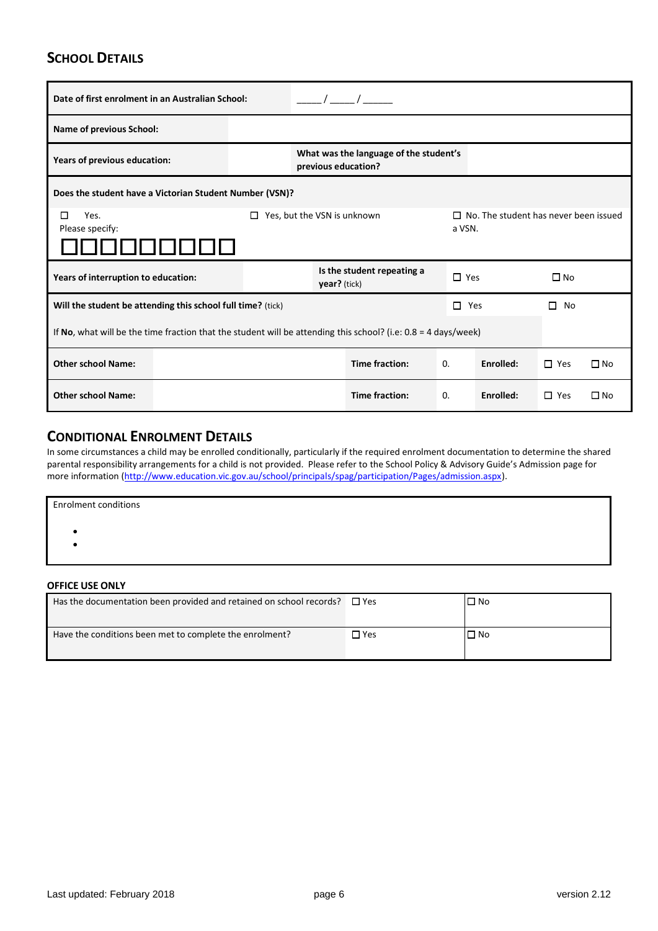## **SCHOOL DETAILS**

| Date of first enrolment in an Australian School:                                                                             |                                                                                                                  |                                                               |              |                            |               |           |              |              |  |
|------------------------------------------------------------------------------------------------------------------------------|------------------------------------------------------------------------------------------------------------------|---------------------------------------------------------------|--------------|----------------------------|---------------|-----------|--------------|--------------|--|
| <b>Name of previous School:</b>                                                                                              |                                                                                                                  |                                                               |              |                            |               |           |              |              |  |
| Years of previous education:                                                                                                 |                                                                                                                  | What was the language of the student's<br>previous education? |              |                            |               |           |              |              |  |
| Does the student have a Victorian Student Number (VSN)?                                                                      |                                                                                                                  |                                                               |              |                            |               |           |              |              |  |
| $\Box$ Yes, but the VSN is unknown<br>$\Box$ No. The student has never been issued<br>Yes.<br>□<br>Please specify:<br>a VSN. |                                                                                                                  |                                                               |              |                            |               |           |              |              |  |
| Years of interruption to education:                                                                                          |                                                                                                                  |                                                               | year? (tick) | Is the student repeating a | $\square$ Yes |           | $\square$ No |              |  |
| Will the student be attending this school full time? (tick)                                                                  |                                                                                                                  |                                                               |              |                            | $\Box$ Yes    |           | П.<br>No     |              |  |
|                                                                                                                              | If No, what will be the time fraction that the student will be attending this school? (i.e: $0.8 = 4$ days/week) |                                                               |              |                            |               |           |              |              |  |
| <b>Other school Name:</b>                                                                                                    |                                                                                                                  | <b>Time fraction:</b><br>$\Box$ Yes<br>0.<br>Enrolled:        |              |                            |               |           | $\square$ No |              |  |
| <b>Other school Name:</b>                                                                                                    |                                                                                                                  |                                                               |              | <b>Time fraction:</b>      | 0.            | Enrolled: | $\Box$ Yes   | $\square$ No |  |

## **CONDITIONAL ENROLMENT DETAILS**

In some circumstances a child may be enrolled conditionally, particularly if the required enrolment documentation to determine the shared parental responsibility arrangements for a child is not provided. Please refer to the School Policy & Advisory Guide's Admission page for more information [\(http://www.education.vic.gov.au/school/principals/spag/participation/Pages/admission.aspx\)](http://www.education.vic.gov.au/school/principals/spag/participation/Pages/admission.aspx).

| <b>Enrolment conditions</b> |  |  |  |
|-----------------------------|--|--|--|
|                             |  |  |  |
|                             |  |  |  |

#### **OFFICE USE ONLY**

| Has the documentation been provided and retained on school records? | $\square$ Yes | □ No |
|---------------------------------------------------------------------|---------------|------|
| Have the conditions been met to complete the enrolment?             | ∃ Yes         | ∐ No |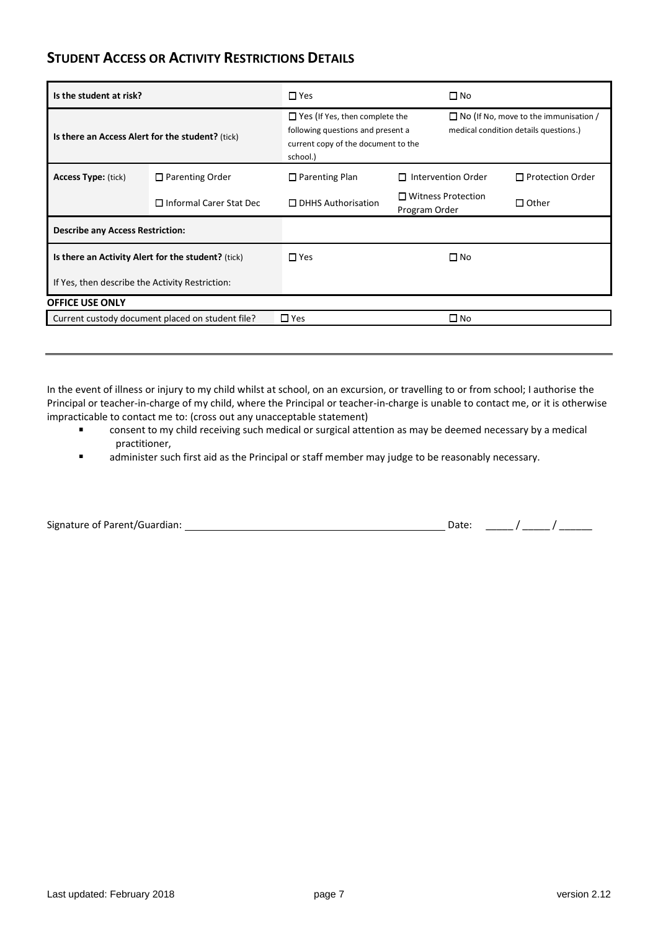### **STUDENT ACCESS OR ACTIVITY RESTRICTIONS DETAILS**

| Is the student at risk?                            |                                                  | $\Box$ Yes                                                                                                                    | □ No                                       |                                                                                       |  |
|----------------------------------------------------|--------------------------------------------------|-------------------------------------------------------------------------------------------------------------------------------|--------------------------------------------|---------------------------------------------------------------------------------------|--|
| Is there an Access Alert for the student? (tick)   |                                                  | $\Box$ Yes (If Yes, then complete the<br>following questions and present a<br>current copy of the document to the<br>school.) |                                            | $\Box$ No (If No, move to the immunisation /<br>medical condition details questions.) |  |
| <b>Access Type: (tick)</b>                         | $\Box$ Parenting Order                           | $\Box$ Parenting Plan                                                                                                         | $\Box$ Intervention Order                  | $\Box$ Protection Order                                                               |  |
|                                                    | $\Box$ Informal Carer Stat Dec                   | $\Box$ DHHS Authorisation                                                                                                     | $\Box$ Witness Protection<br>Program Order | $\Box$ Other                                                                          |  |
| <b>Describe any Access Restriction:</b>            |                                                  |                                                                                                                               |                                            |                                                                                       |  |
| Is there an Activity Alert for the student? (tick) |                                                  | $\Box$ Yes                                                                                                                    | $\Box$ No                                  |                                                                                       |  |
| If Yes, then describe the Activity Restriction:    |                                                  |                                                                                                                               |                                            |                                                                                       |  |
| <b>OFFICE USE ONLY</b>                             |                                                  |                                                                                                                               |                                            |                                                                                       |  |
|                                                    | Current custody document placed on student file? | $\square$ Yes                                                                                                                 | $\square$ No                               |                                                                                       |  |

In the event of illness or injury to my child whilst at school, on an excursion, or travelling to or from school; I authorise the Principal or teacher-in-charge of my child, where the Principal or teacher-in-charge is unable to contact me, or it is otherwise impracticable to contact me to: (cross out any unacceptable statement)

- consent to my child receiving such medical or surgical attention as may be deemed necessary by a medical  $\blacksquare$ practitioner,
- $\blacksquare$ administer such first aid as the Principal or staff member may judge to be reasonably necessary.

| Signature of Parent/Guardian: |  |
|-------------------------------|--|
|-------------------------------|--|

 $S = \begin{bmatrix} \text{Date:} & \text{True} & \text{True} & \text{True} \end{bmatrix}$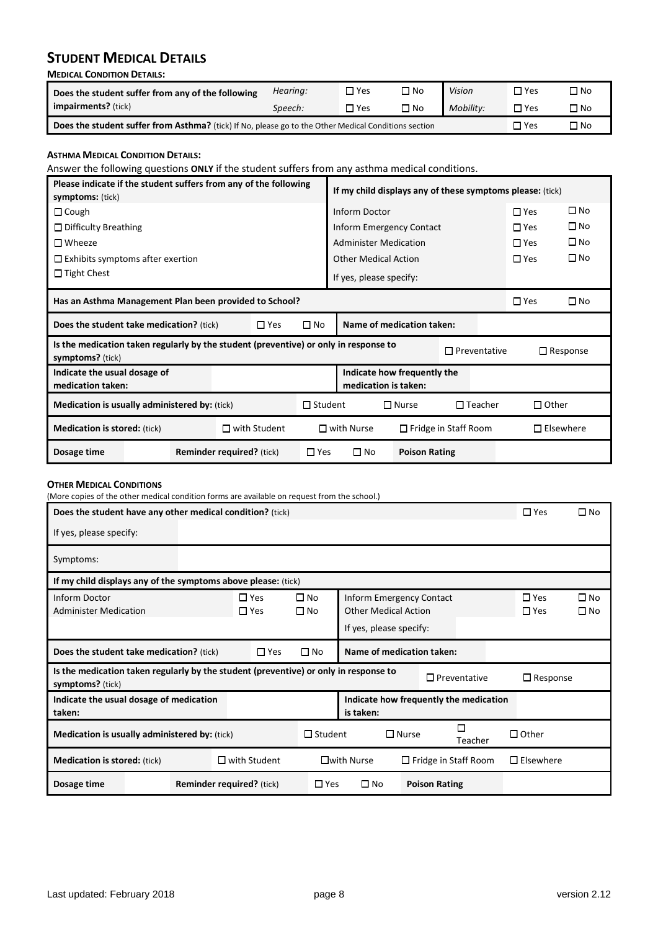## **STUDENT MEDICAL DETAILS**

| <b>MEDICAL CONDITION DETAILS:</b>                                                                    |            |               |              |           |            |              |  |  |  |
|------------------------------------------------------------------------------------------------------|------------|---------------|--------------|-----------|------------|--------------|--|--|--|
| Does the student suffer from any of the following                                                    | Hearing:   | □ Yes         | $\square$ No | Vision    | $\Box$ Yes | $\square$ No |  |  |  |
| <b>impairments?</b> (tick)                                                                           | Speech:    | $\square$ Yes | □ No         | Mobility: | $\Box$ Yes | $\square$ No |  |  |  |
| Does the student suffer from Asthma? (tick) If No, please go to the Other Medical Conditions section | $\Box$ Yes | $\square$ No  |              |           |            |              |  |  |  |

#### **ASTHMA MEDICAL CONDITION DETAILS:**

Answer the following questions **ONLY** if the student suffers from any asthma medical conditions.

| Please indicate if the student suffers from any of the following<br><b>symptoms:</b> (tick) |                                                                                      |                                  |                | If my child displays any of these symptoms please: (tick) |                             |                             |            |                  |
|---------------------------------------------------------------------------------------------|--------------------------------------------------------------------------------------|----------------------------------|----------------|-----------------------------------------------------------|-----------------------------|-----------------------------|------------|------------------|
| $\Box$ Cough                                                                                |                                                                                      |                                  |                | Inform Doctor                                             |                             |                             | $\Box$ Yes | $\square$ No     |
| $\Box$ Difficulty Breathing                                                                 |                                                                                      |                                  |                | Inform Emergency Contact                                  |                             |                             | $\Box$ Yes | $\square$ No     |
| $\Box$ Wheeze                                                                               |                                                                                      |                                  |                | <b>Administer Medication</b>                              |                             |                             | $\Box$ Yes | $\square$ No     |
| $\Box$ Exhibits symptoms after exertion                                                     |                                                                                      |                                  |                | <b>Other Medical Action</b>                               |                             |                             | $\Box$ Yes | $\square$ No     |
| $\Box$ Tight Chest                                                                          |                                                                                      |                                  |                | If yes, please specify:                                   |                             |                             |            |                  |
| Has an Asthma Management Plan been provided to School?                                      |                                                                                      |                                  |                |                                                           | $\square$ Yes               | $\Box$ No                   |            |                  |
| $\square$ Yes<br><b>Does the student take medication?</b> (tick)                            |                                                                                      |                                  | $\square$ No   | Name of medication taken:                                 |                             |                             |            |                  |
| symptoms? (tick)                                                                            | Is the medication taken regularly by the student (preventive) or only in response to |                                  |                |                                                           |                             | $\Box$ Preventative         |            | $\Box$ Response  |
| Indicate the usual dosage of<br>medication taken:                                           |                                                                                      |                                  |                | medication is taken:                                      | Indicate how frequently the |                             |            |                  |
| Medication is usually administered by: (tick)                                               |                                                                                      |                                  | $\Box$ Student | $\Box$ Nurse<br>$\Box$ Teacher                            |                             | $\Box$ Other                |            |                  |
| $\Box$ with Student<br><b>Medication is stored:</b> (tick)                                  |                                                                                      |                                  |                | $\square$ with Nurse                                      |                             | $\Box$ Fridge in Staff Room |            | $\Box$ Elsewhere |
| Dosage time                                                                                 |                                                                                      | <b>Reminder required?</b> (tick) | $\square$ Yes  | $\square$ No                                              | <b>Poison Rating</b>        |                             |            |                  |

#### **OTHER MEDICAL CONDITIONS**

(More copies of the other medical condition forms are available on request from the school.)

| Does the student have any other medical condition? (tick)                                                |                                  |                     |                |                             |                                        | $\Box$ Yes          | $\Box$ No |  |
|----------------------------------------------------------------------------------------------------------|----------------------------------|---------------------|----------------|-----------------------------|----------------------------------------|---------------------|-----------|--|
| If yes, please specify:                                                                                  |                                  |                     |                |                             |                                        |                     |           |  |
| Symptoms:                                                                                                |                                  |                     |                |                             |                                        |                     |           |  |
| If my child displays any of the symptoms above please: (tick)                                            |                                  |                     |                |                             |                                        |                     |           |  |
| Inform Doctor                                                                                            |                                  | $\Box$ Yes          | $\square$ No   | Inform Emergency Contact    |                                        | $\Box$ Yes          | $\Box$ No |  |
| <b>Administer Medication</b>                                                                             |                                  | $\square$ Yes       | $\square$ No   | <b>Other Medical Action</b> |                                        | $\Box$ Yes          | $\Box$ No |  |
|                                                                                                          |                                  |                     |                | If yes, please specify:     |                                        |                     |           |  |
| Does the student take medication? (tick)                                                                 |                                  | $\square$ Yes       | $\square$ No   | Name of medication taken:   |                                        |                     |           |  |
| Is the medication taken regularly by the student (preventive) or only in response to<br>symptoms? (tick) |                                  |                     |                |                             | $\Box$ Preventative                    | $\Box$ Response     |           |  |
| Indicate the usual dosage of medication<br>taken:                                                        |                                  |                     |                | is taken:                   | Indicate how frequently the medication |                     |           |  |
| <b>Medication is usually administered by: (tick)</b>                                                     |                                  |                     | $\Box$ Student | $\Box$ Nurse                | □<br>Teacher                           | $\Box$ Other        |           |  |
| <b>Medication is stored:</b> (tick)                                                                      |                                  | $\Box$ with Student |                | $\square$ with Nurse        | $\Box$ Fridge in Staff Room            | $\square$ Elsewhere |           |  |
| Dosage time                                                                                              | <b>Reminder required?</b> (tick) |                     | $\square$ Yes  | □ No                        | <b>Poison Rating</b>                   |                     |           |  |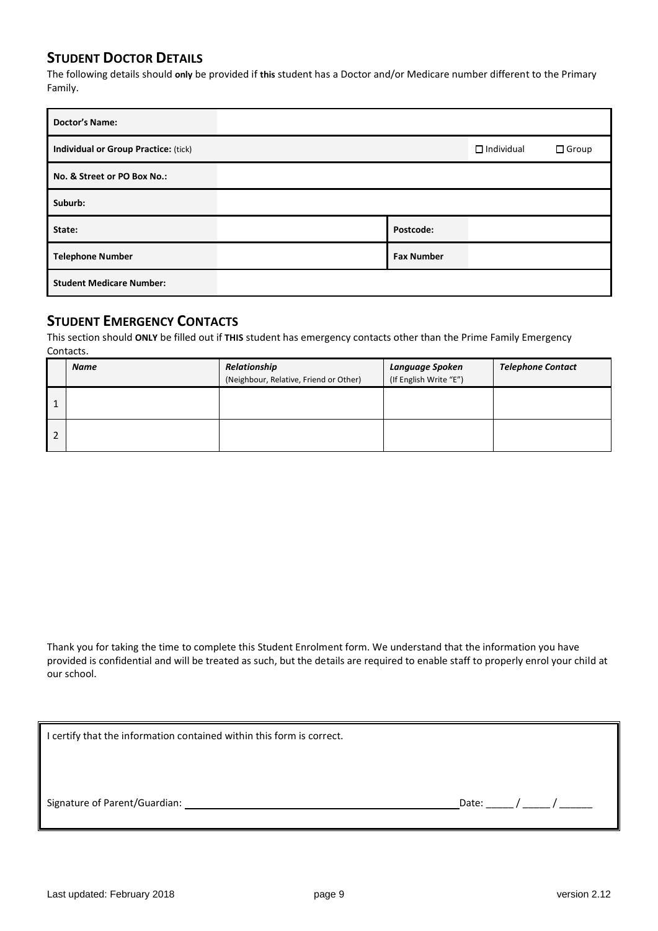### **STUDENT DOCTOR DETAILS**

The following details should **only** be provided if **this** student has a Doctor and/or Medicare number different to the Primary Family.

| <b>Doctor's Name:</b>                       |                   |                   |              |
|---------------------------------------------|-------------------|-------------------|--------------|
| <b>Individual or Group Practice: (tick)</b> |                   | $\Box$ Individual | $\Box$ Group |
| No. & Street or PO Box No.:                 |                   |                   |              |
| Suburb:                                     |                   |                   |              |
| State:                                      | Postcode:         |                   |              |
| <b>Telephone Number</b>                     | <b>Fax Number</b> |                   |              |
| <b>Student Medicare Number:</b>             |                   |                   |              |

### **STUDENT EMERGENCY CONTACTS**

This section should **ONLY** be filled out if **THIS** student has emergency contacts other than the Prime Family Emergency Contacts.

|   | <b>Name</b> | Relationship<br>(Neighbour, Relative, Friend or Other) | Language Spoken<br>(If English Write "E") | <b>Telephone Contact</b> |
|---|-------------|--------------------------------------------------------|-------------------------------------------|--------------------------|
|   |             |                                                        |                                           |                          |
| 2 |             |                                                        |                                           |                          |

Thank you for taking the time to complete this Student Enrolment form. We understand that the information you have provided is confidential and will be treated as such, but the details are required to enable staff to properly enrol your child at our school.

| I certify that the information contained within this form is correct. |             |  |
|-----------------------------------------------------------------------|-------------|--|
|                                                                       |             |  |
|                                                                       |             |  |
|                                                                       | Date: $/$ / |  |
|                                                                       |             |  |